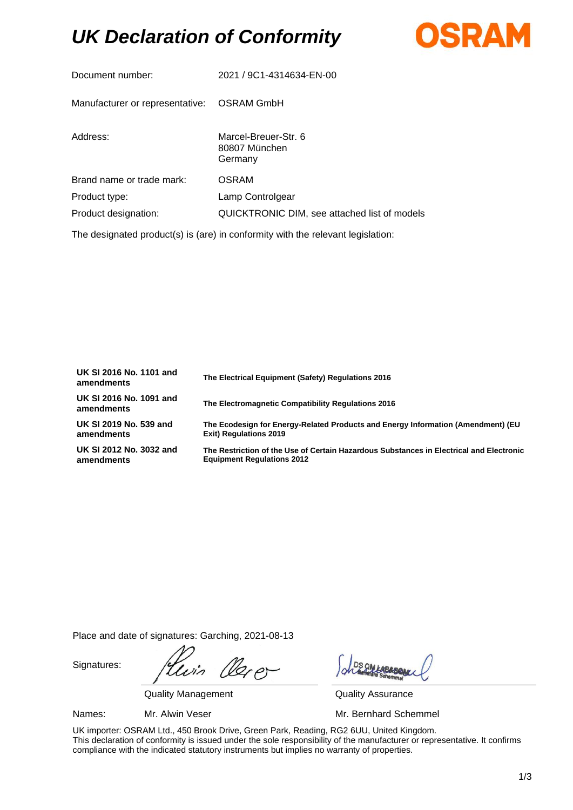## *UK Declaration of Conformity*



| Document number:                                                                | 2021 / 9C1-4314634-EN-00                         |  |  |
|---------------------------------------------------------------------------------|--------------------------------------------------|--|--|
| Manufacturer or representative:                                                 | OSRAM GmbH                                       |  |  |
| Address:                                                                        | Marcel-Breuer-Str. 6<br>80807 München<br>Germany |  |  |
| Brand name or trade mark:                                                       | <b>OSRAM</b>                                     |  |  |
| Product type:                                                                   | Lamp Controlgear                                 |  |  |
| Product designation:                                                            | QUICKTRONIC DIM, see attached list of models     |  |  |
| The designated product(s) is (are) in conformity with the relevant legislation: |                                                  |  |  |

| UK SI 2016 No. 1101 and<br>amendments | The Electrical Equipment (Safety) Regulations 2016                                      |
|---------------------------------------|-----------------------------------------------------------------------------------------|
| UK SI 2016 No. 1091 and<br>amendments | The Electromagnetic Compatibility Regulations 2016                                      |
| UK SI 2019 No. 539 and                | The Ecodesign for Energy-Related Products and Energy Information (Amendment) (EU        |
| amendments                            | <b>Exit) Regulations 2019</b>                                                           |
| UK SI 2012 No. 3032 and               | The Restriction of the Use of Certain Hazardous Substances in Electrical and Electronic |
| amendments                            | <b>Equipment Requlations 2012</b>                                                       |

Place and date of signatures: Garching, 2021-08-13

Signatures:

20p

Quality Management **Quality Assurance** 

Names: Mr. Alwin Veser Mr. Bernhard Schemmel

UK importer: OSRAM Ltd., 450 Brook Drive, Green Park, Reading, RG2 6UU, United Kingdom. This declaration of conformity is issued under the sole responsibility of the manufacturer or representative. It confirms compliance with the indicated statutory instruments but implies no warranty of properties.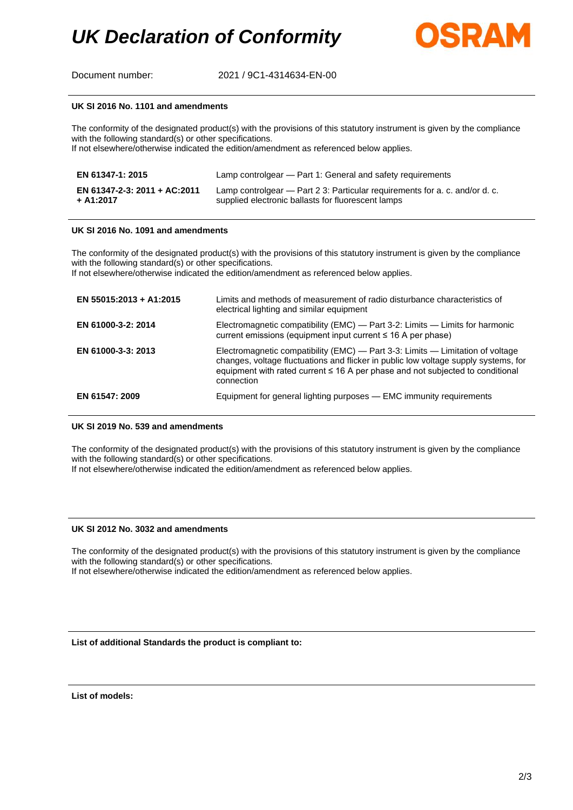

Document number: 2021 / 9C1-4314634-EN-00

#### **UK SI 2016 No. 1101 and amendments**

The conformity of the designated product(s) with the provisions of this statutory instrument is given by the compliance with the following standard(s) or other specifications.

If not elsewhere/otherwise indicated the edition/amendment as referenced below applies.

| EN 61347-1: 2015             | Lamp controlgear — Part 1: General and safety requirements                  |
|------------------------------|-----------------------------------------------------------------------------|
| EN 61347-2-3: 2011 + AC:2011 | Lamp controlgear — Part 2 3: Particular requirements for a. c. and/or d. c. |
| + A1:2017                    | supplied electronic ballasts for fluorescent lamps                          |

#### **UK SI 2016 No. 1091 and amendments**

The conformity of the designated product(s) with the provisions of this statutory instrument is given by the compliance with the following standard(s) or other specifications.

If not elsewhere/otherwise indicated the edition/amendment as referenced below applies.

| EN 55015:2013 + A1:2015 | Limits and methods of measurement of radio disturbance characteristics of<br>electrical lighting and similar equipment                                                                                                                                                |
|-------------------------|-----------------------------------------------------------------------------------------------------------------------------------------------------------------------------------------------------------------------------------------------------------------------|
| EN 61000-3-2: 2014      | Electromagnetic compatibility (EMC) — Part 3-2: Limits — Limits for harmonic<br>current emissions (equipment input current ≤ 16 A per phase)                                                                                                                          |
| EN 61000-3-3: 2013      | Electromagnetic compatibility (EMC) — Part 3-3: Limits — Limitation of voltage<br>changes, voltage fluctuations and flicker in public low voltage supply systems, for<br>equipment with rated current ≤ 16 A per phase and not subjected to conditional<br>connection |
| EN 61547: 2009          | Equipment for general lighting purposes - EMC immunity requirements                                                                                                                                                                                                   |

### **UK SI 2019 No. 539 and amendments**

The conformity of the designated product(s) with the provisions of this statutory instrument is given by the compliance with the following standard(s) or other specifications.

If not elsewhere/otherwise indicated the edition/amendment as referenced below applies.

#### **UK SI 2012 No. 3032 and amendments**

The conformity of the designated product(s) with the provisions of this statutory instrument is given by the compliance with the following standard(s) or other specifications.

If not elsewhere/otherwise indicated the edition/amendment as referenced below applies.

**List of additional Standards the product is compliant to:**

**List of models:**